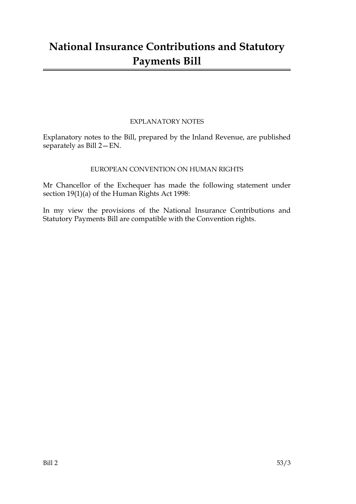# **National Insurance Contributions and Statutory Payments Bill**

### EXPLANATORY NOTES

Explanatory notes to the Bill, prepared by the Inland Revenue, are published separately as Bill 2—EN.

### EUROPEAN CONVENTION ON HUMAN RIGHTS

Mr Chancellor of the Exchequer has made the following statement under section 19(1)(a) of the Human Rights Act 1998:

In my view the provisions of the National Insurance Contributions and Statutory Payments Bill are compatible with the Convention rights.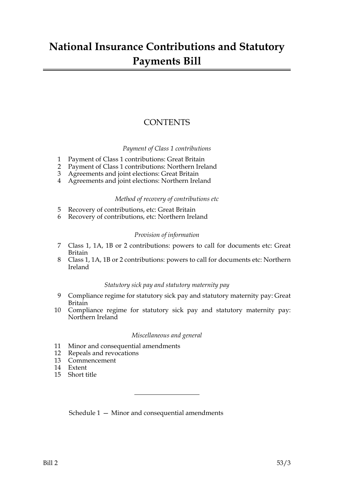## **National Insurance Contributions and Statutory Payments Bill**

### **CONTENTS**

#### *Payment of Class 1 contributions*

- 1 Payment of Class 1 contributions: Great Britain
- 2 Payment of Class 1 contributions: Northern Ireland
- 3 Agreements and joint elections: Great Britain
- 4 Agreements and joint elections: Northern Ireland

#### *Method of recovery of contributions etc*

- 5 Recovery of contributions, etc: Great Britain
- 6 Recovery of contributions, etc: Northern Ireland

#### *Provision of information*

- 7 Class 1, 1A, 1B or 2 contributions: powers to call for documents etc: Great Britain
- 8 Class 1, 1A, 1B or 2 contributions: powers to call for documents etc: Northern Ireland

#### *Statutory sick pay and statutory maternity pay*

- 9 Compliance regime for statutory sick pay and statutory maternity pay: Great Britain
- 10 Compliance regime for statutory sick pay and statutory maternity pay: Northern Ireland

#### *Miscellaneous and general*

- 11 Minor and consequential amendments
- 12 Repeals and revocations
- 13 Commencement
- 14 Extent
- 15 Short title

Schedule 1 — Minor and consequential amendments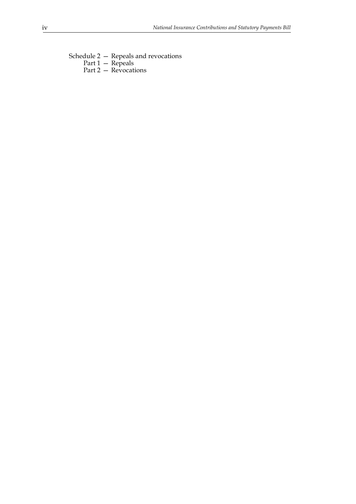Schedule 2 — Repeals and revocations Part 1 — Repeals Part 2 — Revocations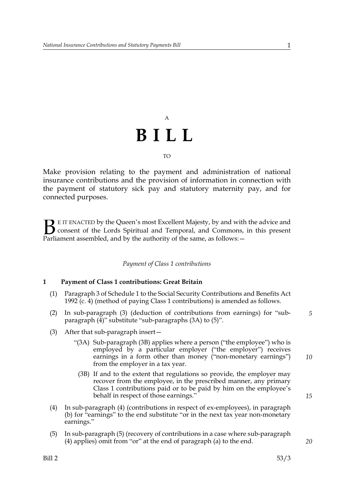# A **BILL** TO

Make provision relating to the payment and administration of national insurance contributions and the provision of information in connection with the payment of statutory sick pay and statutory maternity pay, and for connected purposes.

E IT ENACTED by the Queen's most Excellent Majesty, by and with the advice and consent of the Lords Spiritual and Temporal, and Commons, in this present **B** E IT ENACTED by the Queen's most Excellent Majesty, by and with consent of the Lords Spiritual and Temporal, and Commons, Parliament assembled, and by the authority of the same, as follows:  $-$ 

#### *Payment of Class 1 contributions*

#### **1 Payment of Class 1 contributions: Great Britain**

- (1) Paragraph 3 of Schedule 1 to the Social Security Contributions and Benefits Act 1992 (c. 4) (method of paying Class 1 contributions) is amended as follows.
- (2) In sub-paragraph (3) (deduction of contributions from earnings) for "subparagraph  $(4)$ " substitute "sub-paragraphs  $(3A)$  to  $(5)$ ".
- (3) After that sub-paragraph insert—
	- "(3A) Sub-paragraph (3B) applies where a person ("the employee") who is employed by a particular employer ("the employer") receives earnings in a form other than money ("non-monetary earnings") from the employer in a tax year.
		- (3B) If and to the extent that regulations so provide, the employer may recover from the employee, in the prescribed manner, any primary Class 1 contributions paid or to be paid by him on the employee's behalf in respect of those earnings."
- (4) In sub-paragraph (4) (contributions in respect of ex-employees), in paragraph (b) for "earnings" to the end substitute "or in the next tax year non-monetary earnings."
- (5) In sub-paragraph (5) (recovery of contributions in a case where sub-paragraph (4) applies) omit from "or" at the end of paragraph (a) to the end.

*15*

*20*

*10*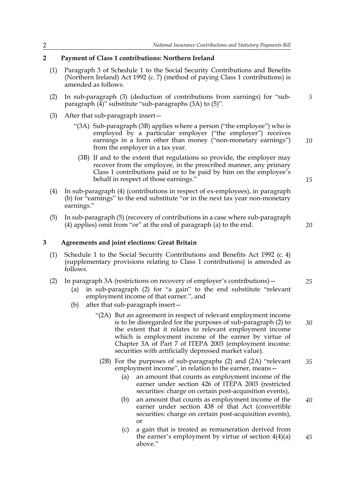#### **2 Payment of Class 1 contributions: Northern Ireland**

- (1) Paragraph 3 of Schedule 1 to the Social Security Contributions and Benefits (Northern Ireland) Act 1992 (c. 7) (method of paying Class 1 contributions) is amended as follows.
- (2) In sub-paragraph (3) (deduction of contributions from earnings) for "subparagraph (4)" substitute "sub-paragraphs (3A) to (5)".
- (3) After that sub-paragraph insert—
	- "(3A) Sub-paragraph (3B) applies where a person ("the employee") who is employed by a particular employer ("the employer") receives earnings in a form other than money ("non-monetary earnings") from the employer in a tax year.
		- (3B) If and to the extent that regulations so provide, the employer may recover from the employee, in the prescribed manner, any primary Class 1 contributions paid or to be paid by him on the employee's behalf in respect of those earnings."
- (4) In sub-paragraph (4) (contributions in respect of ex-employees), in paragraph (b) for "earnings" to the end substitute "or in the next tax year non-monetary earnings."
- (5) In sub-paragraph (5) (recovery of contributions in a case where sub-paragraph (4) applies) omit from "or" at the end of paragraph (a) to the end.

**3 Agreements and joint elections: Great Britain**

- (1) Schedule 1 to the Social Security Contributions and Benefits Act 1992 (c. 4) (supplementary provisions relating to Class 1 contributions) is amended as follows.
- (2) In paragraph 3A (restrictions on recovery of employer's contributions)—
	- (a) in sub-paragraph (2) for "a gain" to the end substitute "relevant employment income of that earner.", and
	- (b) after that sub-paragraph insert—
		- "(2A) But an agreement in respect of relevant employment income is to be disregarded for the purposes of sub-paragraph (2) to the extent that it relates to relevant employment income which is employment income of the earner by virtue of Chapter 3A of Part 7 of ITEPA 2003 (employment income: securities with artificially depressed market value).
			- (2B) For the purposes of sub-paragraphs (2) and (2A) "relevant employment income", in relation to the earner, means— *35*
				- (a) an amount that counts as employment income of the earner under section 426 of ITEPA 2003 (restricted securities: charge on certain post-acquisition events),
				- (b) an amount that counts as employment income of the earner under section 438 of that Act (convertible securities: charge on certain post-acquisition events), or *40*
				- (c) a gain that is treated as remuneration derived from the earner's employment by virtue of section  $4(4)(a)$ above." *45*

*15*

*20*

*25*

*30*

*10*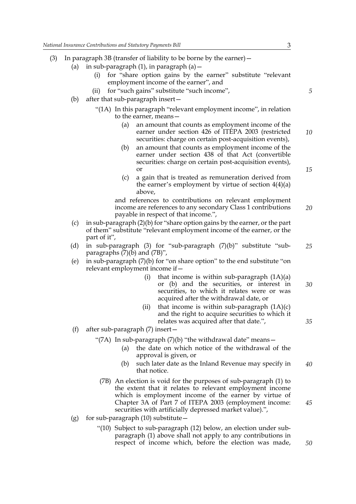- (3) In paragraph 3B (transfer of liability to be borne by the earner)  $-$ 
	- (a) in sub-paragraph  $(1)$ , in paragraph  $(a)$  -
		- (i) for "share option gains by the earner" substitute "relevant employment income of the earner", and
		- (ii) for "such gains" substitute "such income",
	- (b) after that sub-paragraph insert—
		- "(1A) In this paragraph "relevant employment income", in relation to the earner, means—
			- (a) an amount that counts as employment income of the earner under section 426 of ITEPA 2003 (restricted securities: charge on certain post-acquisition events), *10*
			- (b) an amount that counts as employment income of the earner under section 438 of that Act (convertible securities: charge on certain post-acquisition events), or
			- (c) a gain that is treated as remuneration derived from the earner's employment by virtue of section  $4(4)(a)$ above,

and references to contributions on relevant employment income are references to any secondary Class 1 contributions payable in respect of that income.", *20*

- (c) in sub-paragraph (2)(b) for "share option gains by the earner, or the part of them" substitute "relevant employment income of the earner, or the part of it",
- (d) in sub-paragraph (3) for "sub-paragraph  $(7)(b)$ " substitute "subparagraphs  $(7)(b)$  and  $(7B)$ ", *25*
- (e) in sub-paragraph (7)(b) for "on share option" to the end substitute "on relevant employment income if—
	- (i) that income is within sub-paragraph  $(1A)(a)$ or (b) and the securities, or interest in securities, to which it relates were or was acquired after the withdrawal date, or *30*
	- (ii) that income is within sub-paragraph  $(1A)(c)$ and the right to acquire securities to which it relates was acquired after that date.",
- (f) after sub-paragraph (7) insert—

"(7A) In sub-paragraph (7)(b) "the withdrawal date" means -

- (a) the date on which notice of the withdrawal of the approval is given, or
- (b) such later date as the Inland Revenue may specify in that notice. *40*
- (7B) An election is void for the purposes of sub-paragraph (1) to the extent that it relates to relevant employment income which is employment income of the earner by virtue of Chapter 3A of Part 7 of ITEPA 2003 (employment income: securities with artificially depressed market value).",
- (g) for sub-paragraph  $(10)$  substitute
	- "(10) Subject to sub-paragraph (12) below, an election under subparagraph (1) above shall not apply to any contributions in respect of income which, before the election was made,

*5*

*15*

*35*

*45*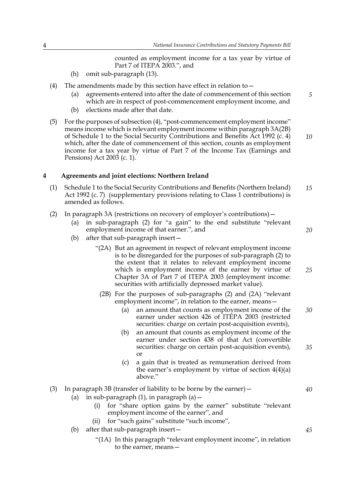counted as employment income for a tax year by virtue of Part 7 of ITEPA 2003.", and

- (h) omit sub-paragraph (13).
- (4) The amendments made by this section have effect in relation to—
	- (a) agreements entered into after the date of commencement of this section which are in respect of post-commencement employment income, and
	- (b) elections made after that date.
- (5) For the purposes of subsection (4), "post-commencement employment income" means income which is relevant employment income within paragraph 3A(2B) of Schedule 1 to the Social Security Contributions and Benefits Act 1992 (c. 4) which, after the date of commencement of this section, counts as employment income for a tax year by virtue of Part 7 of the Income Tax (Earnings and Pensions) Act 2003 (c. 1). *10*

#### **4 Agreements and joint elections: Northern Ireland**

- (1) Schedule 1 to the Social Security Contributions and Benefits (Northern Ireland) Act 1992 (c. 7) (supplementary provisions relating to Class 1 contributions) is amended as follows. *15*
- (2) In paragraph 3A (restrictions on recovery of employer's contributions)—
	- (a) in sub-paragraph (2) for "a gain" to the end substitute "relevant employment income of that earner.", and
	- (b) after that sub-paragraph insert—
		- "(2A) But an agreement in respect of relevant employment income is to be disregarded for the purposes of sub-paragraph (2) to the extent that it relates to relevant employment income which is employment income of the earner by virtue of Chapter 3A of Part 7 of ITEPA 2003 (employment income: securities with artificially depressed market value).
			- (2B) For the purposes of sub-paragraphs (2) and (2A) "relevant employment income", in relation to the earner, means—
				- (a) an amount that counts as employment income of the earner under section 426 of ITEPA 2003 (restricted securities: charge on certain post-acquisition events), *30*
				- (b) an amount that counts as employment income of the earner under section 438 of that Act (convertible securities: charge on certain post-acquisition events), or *35*
				- (c) a gain that is treated as remuneration derived from the earner's employment by virtue of section  $4(4)(a)$ above."

#### (3) In paragraph 3B (transfer of liability to be borne by the earner)—

- (a) in sub-paragraph  $(1)$ , in paragraph  $(a)$  -
	- (i) for "share option gains by the earner" substitute "relevant employment income of the earner", and
	- (ii) for "such gains" substitute "such income",
- (b) after that sub-paragraph insert—
	- "(1A) In this paragraph "relevant employment income", in relation to the earner, means—

*45*

*40*

*5*

*20*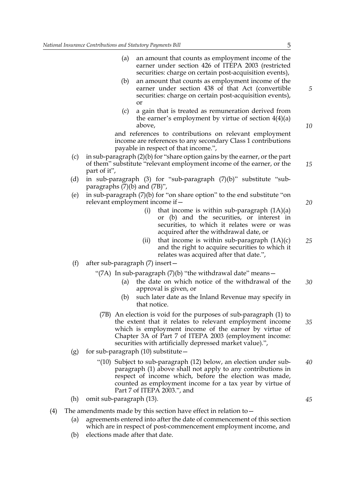- (a) an amount that counts as employment income of the earner under section 426 of ITEPA 2003 (restricted securities: charge on certain post-acquisition events),
- (b) an amount that counts as employment income of the earner under section 438 of that Act (convertible securities: charge on certain post-acquisition events), or
- (c) a gain that is treated as remuneration derived from the earner's employment by virtue of section  $4(4)(a)$ above,

and references to contributions on relevant employment income are references to any secondary Class 1 contributions payable in respect of that income.",

- (c) in sub-paragraph (2)(b) for "share option gains by the earner, or the part of them" substitute "relevant employment income of the earner, or the part of it",
- (d) in sub-paragraph (3) for "sub-paragraph (7)(b)" substitute "subparagraphs  $(7)(\bar{b})$  and  $(7B)$ ",
- (e) in sub-paragraph (7)(b) for "on share option" to the end substitute "on relevant employment income if—
	- (i) that income is within sub-paragraph  $(1A)(a)$ or (b) and the securities, or interest in securities, to which it relates were or was acquired after the withdrawal date, or
	- (ii) that income is within sub-paragraph  $(1A)(c)$ and the right to acquire securities to which it relates was acquired after that date.",
- (f) after sub-paragraph (7) insert—

"(7A) In sub-paragraph (7)(b) "the withdrawal date" means—

- (a) the date on which notice of the withdrawal of the approval is given, or *30*
- (b) such later date as the Inland Revenue may specify in that notice.
- (7B) An election is void for the purposes of sub-paragraph (1) to the extent that it relates to relevant employment income which is employment income of the earner by virtue of Chapter 3A of Part 7 of ITEPA 2003 (employment income: securities with artificially depressed market value).",
- (g) for sub-paragraph  $(10)$  substitute
	- "(10) Subject to sub-paragraph (12) below, an election under subparagraph (1) above shall not apply to any contributions in respect of income which, before the election was made, counted as employment income for a tax year by virtue of Part 7 of ITEPA 2003.", and *40*

(h) omit sub-paragraph (13).

- (4) The amendments made by this section have effect in relation to  $-$ 
	- (a) agreements entered into after the date of commencement of this section which are in respect of post-commencement employment income, and
	- (b) elections made after that date.

*20*

*5*

*10*

*15*

*25*

*45*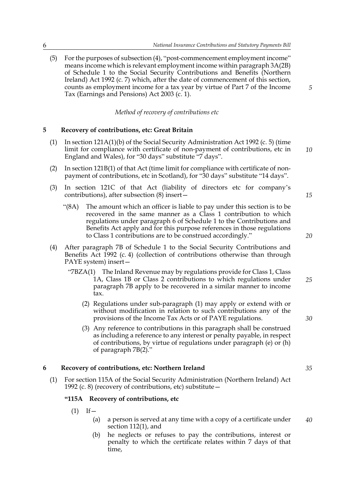(5) For the purposes of subsection (4), "post-commencement employment income" means income which is relevant employment income within paragraph 3A(2B) of Schedule 1 to the Social Security Contributions and Benefits (Northern Ireland) Act 1992 (c. 7) which, after the date of commencement of this section, counts as employment income for a tax year by virtue of Part 7 of the Income Tax (Earnings and Pensions) Act 2003 (c. 1).

*Method of recovery of contributions etc*

#### **5 Recovery of contributions, etc: Great Britain**

- (1) In section 121A(1)(b) of the Social Security Administration Act 1992 (c. 5) (time limit for compliance with certificate of non-payment of contributions, etc in England and Wales), for "30 days" substitute "7 days".
- (2) In section 121B(1) of that Act (time limit for compliance with certificate of nonpayment of contributions, etc in Scotland), for "30 days" substitute "14 days".
- (3) In section 121C of that Act (liability of directors etc for company's contributions), after subsection (8) insert—
	- "(8A) The amount which an officer is liable to pay under this section is to be recovered in the same manner as a Class 1 contribution to which regulations under paragraph 6 of Schedule 1 to the Contributions and Benefits Act apply and for this purpose references in those regulations to Class 1 contributions are to be construed accordingly."
- (4) After paragraph 7B of Schedule 1 to the Social Security Contributions and Benefits Act 1992 (c. 4) (collection of contributions otherwise than through PAYE system) insert—
	- "7BZA(1) The Inland Revenue may by regulations provide for Class 1, Class 1A, Class 1B or Class 2 contributions to which regulations under paragraph 7B apply to be recovered in a similar manner to income tax. *25*
		- (2) Regulations under sub-paragraph (1) may apply or extend with or without modification in relation to such contributions any of the provisions of the Income Tax Acts or of PAYE regulations.
		- (3) Any reference to contributions in this paragraph shall be construed as including a reference to any interest or penalty payable, in respect of contributions, by virtue of regulations under paragraph (e) or (h) of paragraph 7B(2)."

#### **6 Recovery of contributions, etc: Northern Ireland**

(1) For section 115A of the Social Security Administration (Northern Ireland) Act 1992 (c. 8) (recovery of contributions, etc) substitute—

#### **"115A Recovery of contributions, etc**

- $(1)$  If  $-$ 
	- (a) a person is served at any time with a copy of a certificate under section 112(1), and *40*
	- (b) he neglects or refuses to pay the contributions, interest or penalty to which the certificate relates within 7 days of that time,

*15*

*10*

*5*

*20*

*30*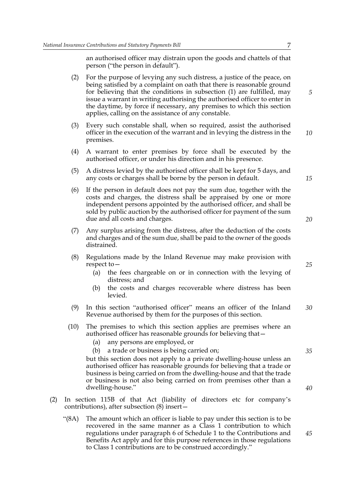an authorised officer may distrain upon the goods and chattels of that person ("the person in default").

- (2) For the purpose of levying any such distress, a justice of the peace, on being satisfied by a complaint on oath that there is reasonable ground for believing that the conditions in subsection (1) are fulfilled, may issue a warrant in writing authorising the authorised officer to enter in the daytime, by force if necessary, any premises to which this section applies, calling on the assistance of any constable.
- (3) Every such constable shall, when so required, assist the authorised officer in the execution of the warrant and in levying the distress in the premises. *10*
- (4) A warrant to enter premises by force shall be executed by the authorised officer, or under his direction and in his presence.
- (5) A distress levied by the authorised officer shall be kept for 5 days, and any costs or charges shall be borne by the person in default.
- (6) If the person in default does not pay the sum due, together with the costs and charges, the distress shall be appraised by one or more independent persons appointed by the authorised officer, and shall be sold by public auction by the authorised officer for payment of the sum due and all costs and charges.
- (7) Any surplus arising from the distress, after the deduction of the costs and charges and of the sum due, shall be paid to the owner of the goods distrained.
- (8) Regulations made by the Inland Revenue may make provision with respect to—
	- (a) the fees chargeable on or in connection with the levying of distress; and
	- (b) the costs and charges recoverable where distress has been levied.
- (9) In this section "authorised officer" means an officer of the Inland Revenue authorised by them for the purposes of this section. *30*
- (10) The premises to which this section applies are premises where an authorised officer has reasonable grounds for believing that—
	- (a) any persons are employed, or
	- (b) a trade or business is being carried on;

but this section does not apply to a private dwelling-house unless an authorised officer has reasonable grounds for believing that a trade or business is being carried on from the dwelling-house and that the trade or business is not also being carried on from premises other than a dwelling-house."

- (2) In section 115B of that Act (liability of directors etc for company's contributions), after subsection (8) insert—
	- "(8A) The amount which an officer is liable to pay under this section is to be recovered in the same manner as a Class 1 contribution to which regulations under paragraph 6 of Schedule 1 to the Contributions and Benefits Act apply and for this purpose references in those regulations to Class 1 contributions are to be construed accordingly."

*25*

*15*

*20*

*35*

*40*

*45*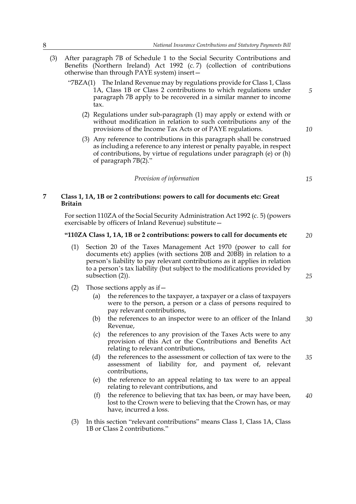- (3) After paragraph 7B of Schedule 1 to the Social Security Contributions and Benefits (Northern Ireland) Act 1992 (c. 7) (collection of contributions otherwise than through PAYE system) insert—
	- "7BZA(1) The Inland Revenue may by regulations provide for Class 1, Class 1A, Class 1B or Class 2 contributions to which regulations under paragraph 7B apply to be recovered in a similar manner to income tax.
		- (2) Regulations under sub-paragraph (1) may apply or extend with or without modification in relation to such contributions any of the provisions of the Income Tax Acts or of PAYE regulations.
		- (3) Any reference to contributions in this paragraph shall be construed as including a reference to any interest or penalty payable, in respect of contributions, by virtue of regulations under paragraph (e) or (h) of paragraph 7B(2)."

*Provision of information*

#### **7 Class 1, 1A, 1B or 2 contributions: powers to call for documents etc: Great Britain**

For section 110ZA of the Social Security Administration Act 1992 (c. 5) (powers exercisable by officers of Inland Revenue) substitute—

#### **"110ZA Class 1, 1A, 1B or 2 contributions: powers to call for documents etc** *20*

- (1) Section 20 of the Taxes Management Act 1970 (power to call for documents etc) applies (with sections 20B and 20BB) in relation to a person's liability to pay relevant contributions as it applies in relation to a person's tax liability (but subject to the modifications provided by subsection (2)).
- (2) Those sections apply as if  $-$ 
	- (a) the references to the taxpayer, a taxpayer or a class of taxpayers were to the person, a person or a class of persons required to pay relevant contributions,
	- (b) the references to an inspector were to an officer of the Inland Revenue, *30*
	- (c) the references to any provision of the Taxes Acts were to any provision of this Act or the Contributions and Benefits Act relating to relevant contributions,
	- (d) the references to the assessment or collection of tax were to the assessment of liability for, and payment of, relevant contributions, *35*
	- (e) the reference to an appeal relating to tax were to an appeal relating to relevant contributions, and
	- (f) the reference to believing that tax has been, or may have been, lost to the Crown were to believing that the Crown has, or may have, incurred a loss.
- (3) In this section "relevant contributions" means Class 1, Class 1A, Class 1B or Class 2 contributions."

*15*

*5*

*10*

*25*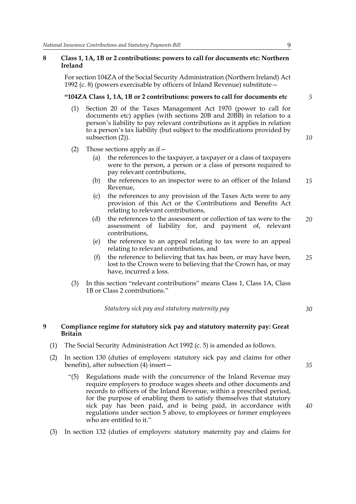#### **8 Class 1, 1A, 1B or 2 contributions: powers to call for documents etc: Northern Ireland**

For section 104ZA of the Social Security Administration (Northern Ireland) Act 1992 (c. 8) (powers exercisable by officers of Inland Revenue) substitute—

#### **"104ZA Class 1, 1A, 1B or 2 contributions: powers to call for documents etc**

- (1) Section 20 of the Taxes Management Act 1970 (power to call for documents etc) applies (with sections 20B and 20BB) in relation to a person's liability to pay relevant contributions as it applies in relation to a person's tax liability (but subject to the modifications provided by subsection (2)).
- (2) Those sections apply as if  $-$ 
	- (a) the references to the taxpayer, a taxpayer or a class of taxpayers were to the person, a person or a class of persons required to pay relevant contributions,
	- (b) the references to an inspector were to an officer of the Inland Revenue, *15*
	- (c) the references to any provision of the Taxes Acts were to any provision of this Act or the Contributions and Benefits Act relating to relevant contributions,
	- (d) the references to the assessment or collection of tax were to the assessment of liability for, and payment of, relevant contributions, *20*
	- (e) the reference to an appeal relating to tax were to an appeal relating to relevant contributions, and
	- (f) the reference to believing that tax has been, or may have been, lost to the Crown were to believing that the Crown has, or may have, incurred a loss. *25*
- (3) In this section "relevant contributions" means Class 1, Class 1A, Class 1B or Class 2 contributions."

*Statutory sick pay and statutory maternity pay*

#### **9 Compliance regime for statutory sick pay and statutory maternity pay: Great Britain**

- (1) The Social Security Administration Act 1992 (c. 5) is amended as follows.
- (2) In section 130 (duties of employers: statutory sick pay and claims for other benefits), after subsection (4) insert—
	- "(5) Regulations made with the concurrence of the Inland Revenue may require employers to produce wages sheets and other documents and records to officers of the Inland Revenue, within a prescribed period, for the purpose of enabling them to satisfy themselves that statutory sick pay has been paid, and is being paid, in accordance with regulations under section 5 above, to employees or former employees who are entitled to it."
- (3) In section 132 (duties of employers: statutory maternity pay and claims for

*35*

*40*

*30*

*5*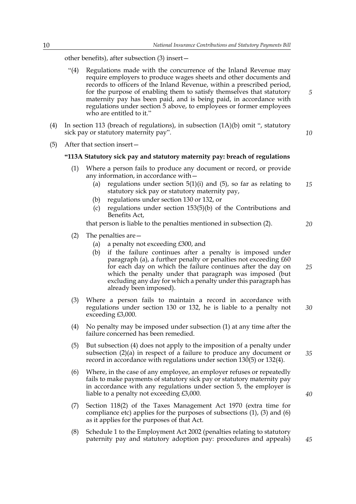other benefits), after subsection (3) insert—

- "(4) Regulations made with the concurrence of the Inland Revenue may require employers to produce wages sheets and other documents and records to officers of the Inland Revenue, within a prescribed period, for the purpose of enabling them to satisfy themselves that statutory maternity pay has been paid, and is being paid, in accordance with regulations under section 5 above, to employees or former employees who are entitled to it."
- (4) In section 113 (breach of regulations), in subsection (1A)(b) omit ", statutory sick pay or statutory maternity pay".

*10*

*20*

*25*

*5*

(5) After that section insert—

#### **"113A Statutory sick pay and statutory maternity pay: breach of regulations**

- (1) Where a person fails to produce any document or record, or provide any information, in accordance with—
	- (a) regulations under section  $5(1)(i)$  and  $(5)$ , so far as relating to statutory sick pay or statutory maternity pay, *15*
	- (b) regulations under section 130 or 132, or
	- (c) regulations under section 153(5)(b) of the Contributions and Benefits Act,

that person is liable to the penalties mentioned in subsection (2).

- (2) The penalties are—
	- (a) a penalty not exceeding £300, and
	- (b) if the failure continues after a penalty is imposed under paragraph (a), a further penalty or penalties not exceeding £60 for each day on which the failure continues after the day on which the penalty under that paragraph was imposed (but excluding any day for which a penalty under this paragraph has already been imposed).
- (3) Where a person fails to maintain a record in accordance with regulations under section 130 or 132, he is liable to a penalty not exceeding £3,000. *30*
- (4) No penalty may be imposed under subsection (1) at any time after the failure concerned has been remedied.
- (5) But subsection (4) does not apply to the imposition of a penalty under subsection (2)(a) in respect of a failure to produce any document or record in accordance with regulations under section 130(5) or 132(4).
- (6) Where, in the case of any employee, an employer refuses or repeatedly fails to make payments of statutory sick pay or statutory maternity pay in accordance with any regulations under section 5, the employer is liable to a penalty not exceeding £3,000.
- (7) Section 118(2) of the Taxes Management Act 1970 (extra time for compliance etc) applies for the purposes of subsections (1), (3) and (6) as it applies for the purposes of that Act.
- (8) Schedule 1 to the Employment Act 2002 (penalties relating to statutory paternity pay and statutory adoption pay: procedures and appeals)

*40*

*45*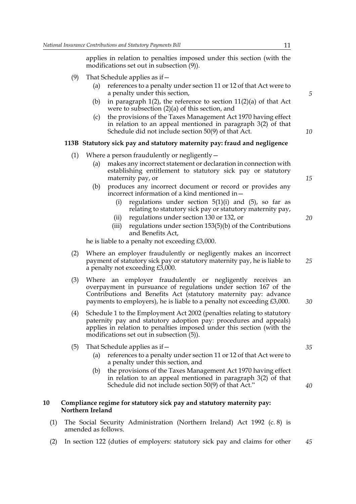applies in relation to penalties imposed under this section (with the modifications set out in subsection (9)).

- (9) That Schedule applies as if  $-$ 
	- (a) references to a penalty under section 11 or 12 of that Act were to a penalty under this section,
	- (b) in paragraph 1(2), the reference to section 11(2)(a) of that Act were to subsection (2)(a) of this section, and
	- (c) the provisions of the Taxes Management Act 1970 having effect in relation to an appeal mentioned in paragraph 3(2) of that Schedule did not include section 50(9) of that Act.

#### **113B Statutory sick pay and statutory maternity pay: fraud and negligence**

- (1) Where a person fraudulently or negligently—
	- (a) makes any incorrect statement or declaration in connection with establishing entitlement to statutory sick pay or statutory maternity pay, or
	- (b) produces any incorrect document or record or provides any incorrect information of a kind mentioned in—
		- (i) regulations under section  $5(1)(i)$  and  $(5)$ , so far as relating to statutory sick pay or statutory maternity pay,
		- (ii) regulations under section 130 or 132, or
		- (iii) regulations under section 153(5)(b) of the Contributions and Benefits Act,

he is liable to a penalty not exceeding £3,000.

- (2) Where an employer fraudulently or negligently makes an incorrect payment of statutory sick pay or statutory maternity pay, he is liable to a penalty not exceeding £3,000.
- (3) Where an employer fraudulently or negligently receives an overpayment in pursuance of regulations under section 167 of the Contributions and Benefits Act (statutory maternity pay: advance payments to employers), he is liable to a penalty not exceeding £3,000.
- (4) Schedule 1 to the Employment Act 2002 (penalties relating to statutory paternity pay and statutory adoption pay: procedures and appeals) applies in relation to penalties imposed under this section (with the modifications set out in subsection (5)).
- (5) That Schedule applies as if—
	- (a) references to a penalty under section 11 or 12 of that Act were to a penalty under this section, and
	- (b) the provisions of the Taxes Management Act 1970 having effect in relation to an appeal mentioned in paragraph 3(2) of that Schedule did not include section 50(9) of that Act."

#### **10 Compliance regime for statutory sick pay and statutory maternity pay: Northern Ireland**

- (1) The Social Security Administration (Northern Ireland) Act 1992 (c. 8) is amended as follows.
- (2) In section 122 (duties of employers: statutory sick pay and claims for other *45*

*20*

*15*

*5*

*10*

*30*

*25*

*40*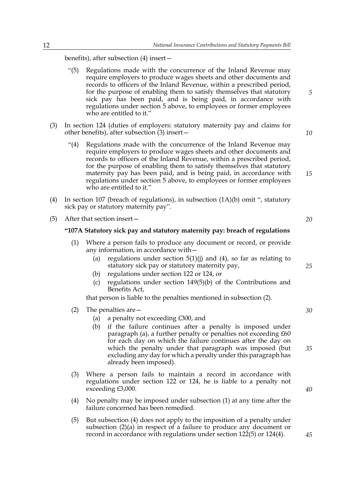benefits), after subsection (4) insert—

- "(5) Regulations made with the concurrence of the Inland Revenue may require employers to produce wages sheets and other documents and records to officers of the Inland Revenue, within a prescribed period, for the purpose of enabling them to satisfy themselves that statutory sick pay has been paid, and is being paid, in accordance with regulations under section 5 above, to employees or former employees who are entitled to it."
- (3) In section 124 (duties of employers: statutory maternity pay and claims for other benefits), after subsection (3) insert—
	- "(4) Regulations made with the concurrence of the Inland Revenue may require employers to produce wages sheets and other documents and records to officers of the Inland Revenue, within a prescribed period, for the purpose of enabling them to satisfy themselves that statutory maternity pay has been paid, and is being paid, in accordance with regulations under section 5 above, to employees or former employees who are entitled to it."
- (4) In section 107 (breach of regulations), in subsection (1A)(b) omit ", statutory sick pay or statutory maternity pay".
- (5) After that section insert—

#### **"107A Statutory sick pay and statutory maternity pay: breach of regulations**

- (1) Where a person fails to produce any document or record, or provide any information, in accordance with—
	- (a) regulations under section  $5(1)(i)$  and  $(4)$ , so far as relating to statutory sick pay or statutory maternity pay,
	- (b) regulations under section 122 or 124, or
	- (c) regulations under section 149(5)(b) of the Contributions and Benefits Act,

that person is liable to the penalties mentioned in subsection (2).

- (2) The penalties are—
	- (a) a penalty not exceeding £300, and
	- (b) if the failure continues after a penalty is imposed under paragraph (a), a further penalty or penalties not exceeding £60 for each day on which the failure continues after the day on which the penalty under that paragraph was imposed (but excluding any day for which a penalty under this paragraph has already been imposed).
- (3) Where a person fails to maintain a record in accordance with regulations under section 122 or 124, he is liable to a penalty not exceeding £3,000.
- (4) No penalty may be imposed under subsection (1) at any time after the failure concerned has been remedied.
- (5) But subsection (4) does not apply to the imposition of a penalty under subsection (2)(a) in respect of a failure to produce any document or record in accordance with regulations under section 122(5) or 124(4).

*10*

*15*

*5*

*20*

*25*

*30*

*35*

*40*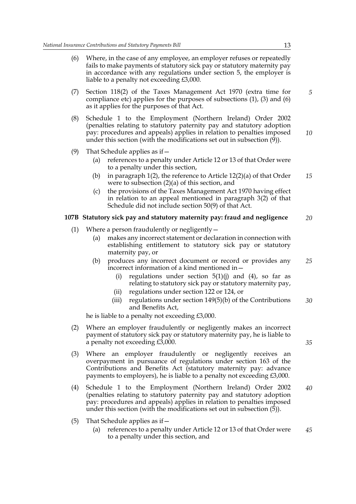- (6) Where, in the case of any employee, an employer refuses or repeatedly fails to make payments of statutory sick pay or statutory maternity pay in accordance with any regulations under section 5, the employer is liable to a penalty not exceeding £3,000.
- (7) Section 118(2) of the Taxes Management Act 1970 (extra time for compliance etc) applies for the purposes of subsections (1), (3) and (6) as it applies for the purposes of that Act.
- (8) Schedule 1 to the Employment (Northern Ireland) Order 2002 (penalties relating to statutory paternity pay and statutory adoption pay: procedures and appeals) applies in relation to penalties imposed under this section (with the modifications set out in subsection (9)). *10*
- (9) That Schedule applies as if—
	- (a) references to a penalty under Article 12 or 13 of that Order were to a penalty under this section,
	- (b) in paragraph 1(2), the reference to Article 12(2)(a) of that Order were to subsection (2)(a) of this section, and *15*
	- (c) the provisions of the Taxes Management Act 1970 having effect in relation to an appeal mentioned in paragraph 3(2) of that Schedule did not include section 50(9) of that Act.

#### **107B Statutory sick pay and statutory maternity pay: fraud and negligence** *20*

- (1) Where a person fraudulently or negligently—
	- (a) makes any incorrect statement or declaration in connection with establishing entitlement to statutory sick pay or statutory maternity pay, or
	- (b) produces any incorrect document or record or provides any incorrect information of a kind mentioned in— *25*
		- (i) regulations under section  $5(1)(j)$  and  $(4)$ , so far as relating to statutory sick pay or statutory maternity pay,
		- (ii) regulations under section 122 or 124, or
		- (iii) regulations under section 149(5)(b) of the Contributions and Benefits Act, *30*

he is liable to a penalty not exceeding £3,000.

- (2) Where an employer fraudulently or negligently makes an incorrect payment of statutory sick pay or statutory maternity pay, he is liable to a penalty not exceeding £3,000.
- (3) Where an employer fraudulently or negligently receives an overpayment in pursuance of regulations under section 163 of the Contributions and Benefits Act (statutory maternity pay: advance payments to employers), he is liable to a penalty not exceeding £3,000.
- (4) Schedule 1 to the Employment (Northern Ireland) Order 2002 (penalties relating to statutory paternity pay and statutory adoption pay: procedures and appeals) applies in relation to penalties imposed under this section (with the modifications set out in subsection  $(\bar{5})$ ). *40*
- (5) That Schedule applies as if—
	- (a) references to a penalty under Article 12 or 13 of that Order were to a penalty under this section, and *45*

*5*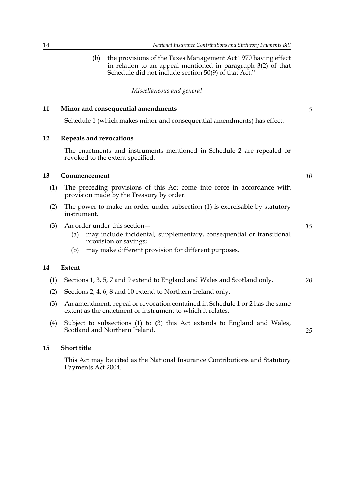(b) the provisions of the Taxes Management Act 1970 having effect in relation to an appeal mentioned in paragraph 3(2) of that Schedule did not include section 50(9) of that Act."

*Miscellaneous and general*

#### **11 Minor and consequential amendments**

Schedule 1 (which makes minor and consequential amendments) has effect.

#### **12 Repeals and revocations**

The enactments and instruments mentioned in Schedule 2 are repealed or revoked to the extent specified.

#### **13 Commencement**

*10*

*15*

*25*

*5*

- (1) The preceding provisions of this Act come into force in accordance with provision made by the Treasury by order.
- (2) The power to make an order under subsection (1) is exercisable by statutory instrument.
- (3) An order under this section—
	- (a) may include incidental, supplementary, consequential or transitional provision or savings;
	- (b) may make different provision for different purposes.

#### **14 Extent**

- (1) Sections 1, 3, 5, 7 and 9 extend to England and Wales and Scotland only. *20*
- (2) Sections 2, 4, 6, 8 and 10 extend to Northern Ireland only.
- (3) An amendment, repeal or revocation contained in Schedule 1 or 2 has the same extent as the enactment or instrument to which it relates.
- (4) Subject to subsections (1) to (3) this Act extends to England and Wales, Scotland and Northern Ireland.

#### **15 Short title**

This Act may be cited as the National Insurance Contributions and Statutory Payments Act 2004.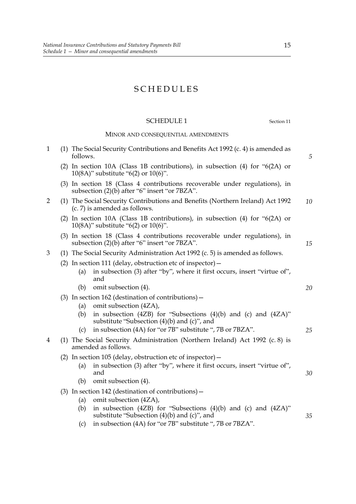## SCHEDULES

#### SCHEDULE 1 Section 11

### MINOR AND CONSEQUENTIAL AMENDMENTS

| $\mathbf{1}$   | follows.                                                                                                                  | (1) The Social Security Contributions and Benefits Act 1992 (c. 4) is amended as                                                                | 5  |  |
|----------------|---------------------------------------------------------------------------------------------------------------------------|-------------------------------------------------------------------------------------------------------------------------------------------------|----|--|
|                |                                                                                                                           | (2) In section 10A (Class 1B contributions), in subsection (4) for "6(2A) or<br>10(8A)" substitute "6(2) or $10(6)$ ".                          |    |  |
|                |                                                                                                                           | (3) In section 18 (Class 4 contributions recoverable under regulations), in<br>subsection (2)(b) after "6" insert "or 7BZA".                    |    |  |
| $\overline{2}$ |                                                                                                                           | (1) The Social Security Contributions and Benefits (Northern Ireland) Act 1992<br>(c. 7) is amended as follows.                                 | 10 |  |
|                | (2) In section 10A (Class 1B contributions), in subsection (4) for " $6(2A)$ or<br>10(8A)" substitute "6(2) or $10(6)$ ". |                                                                                                                                                 |    |  |
|                |                                                                                                                           | (3) In section 18 (Class 4 contributions recoverable under regulations), in<br>subsection (2)(b) after "6" insert "or 7BZA".                    | 15 |  |
| 3              |                                                                                                                           | (1) The Social Security Administration Act 1992 (c. 5) is amended as follows.                                                                   |    |  |
|                | (a)                                                                                                                       | (2) In section 111 (delay, obstruction etc of inspector) $-$<br>in subsection (3) after "by", where it first occurs, insert "virtue of",<br>and |    |  |
|                | (b)                                                                                                                       | omit subsection (4).                                                                                                                            | 20 |  |
|                |                                                                                                                           | (3) In section 162 (destination of contributions) $-$                                                                                           |    |  |
|                | (a)                                                                                                                       | omit subsection (4ZA),                                                                                                                          |    |  |
|                | (b)                                                                                                                       | in subsection (4ZB) for "Subsections (4)(b) and (c) and (4ZA)"<br>substitute "Subsection $(4)(b)$ and $(c)$ ", and                              |    |  |
|                | (c)                                                                                                                       | in subsection (4A) for "or 7B" substitute ", 7B or 7BZA".                                                                                       | 25 |  |
| 4              |                                                                                                                           | (1) The Social Security Administration (Northern Ireland) Act 1992 (c. 8) is<br>amended as follows.                                             |    |  |
|                |                                                                                                                           | (2) In section 105 (delay, obstruction etc of inspector) $-$                                                                                    |    |  |
|                | (a)                                                                                                                       | in subsection (3) after "by", where it first occurs, insert "virtue of",<br>and                                                                 | 30 |  |
|                | (b)                                                                                                                       | omit subsection (4).                                                                                                                            |    |  |
|                |                                                                                                                           | $(3)$ In section 142 (destination of contributions) –                                                                                           |    |  |
|                | (a)                                                                                                                       | omit subsection (4ZA),                                                                                                                          |    |  |
|                | (b)                                                                                                                       | in subsection (4ZB) for "Subsections (4)(b) and (c) and (4ZA)"<br>substitute "Subsection $(4)(b)$ and $(c)$ ", and                              | 35 |  |
|                | (c)                                                                                                                       | in subsection (4A) for "or 7B" substitute ", 7B or 7BZA".                                                                                       |    |  |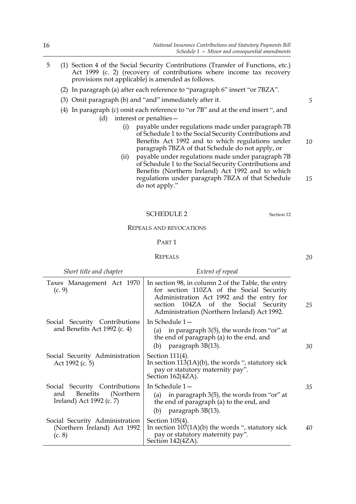- 5 (1) Section 4 of the Social Security Contributions (Transfer of Functions, etc.) Act 1999 (c. 2) (recovery of contributions where income tax recovery provisions not applicable) is amended as follows.
	- (2) In paragraph (a) after each reference to "paragraph 6" insert "or 7BZA".
	- (3) Omit paragraph (b) and "and" immediately after it.
	- (4) In paragraph (c) omit each reference to "or 7B" and at the end insert ", and (d) interest or penalties—
		- (i) payable under regulations made under paragraph 7B of Schedule 1 to the Social Security Contributions and Benefits Act 1992 and to which regulations under paragraph 7BZA of that Schedule do not apply, or
		- (ii) payable under regulations made under paragraph 7B of Schedule 1 to the Social Security Contributions and Benefits (Northern Ireland) Act 1992 and to which regulations under paragraph 7BZA of that Schedule do not apply."

| <b>SCHEDULE 2</b> |
|-------------------|
|-------------------|

#### REPEALS AND REVOCATIONS

#### PART 1

#### REPEALS

| Short title and chapter                                                                    | Extent of repeal                                                                                                                                                                                                                   |    |
|--------------------------------------------------------------------------------------------|------------------------------------------------------------------------------------------------------------------------------------------------------------------------------------------------------------------------------------|----|
| Taxes Management Act 1970<br>(c. 9)                                                        | In section 98, in column 2 of the Table, the entry<br>for section 110ZA of the Social Security<br>Administration Act 1992 and the entry for<br>section 104ZA of the Social Security<br>Administration (Northern Ireland) Act 1992. | 25 |
| Social Security Contributions<br>and Benefits Act 1992 (c. 4)                              | In Schedule 1-<br>in paragraph 3(5), the words from "or" at<br>(a)<br>the end of paragraph (a) to the end, and<br>paragraph 3B(13).<br>(b)                                                                                         | 30 |
| Social Security Administration<br>Act 1992 (c. 5)                                          | Section 111(4).<br>In section $113(1A)(b)$ , the words ", statutory sick<br>pay or statutory maternity pay".<br>Section 162(4ZA).                                                                                                  |    |
| Social Security Contributions<br>Benefits<br>(Northern)<br>and<br>Ireland) Act 1992 (c. 7) | In Schedule 1-<br>in paragraph 3(5), the words from "or" at<br>(a)<br>the end of paragraph (a) to the end, and<br>(b) paragraph $3B(13)$ .                                                                                         | 35 |
| Social Security Administration<br>(Northern Ireland) Act 1992<br>(c. 8)                    | Section 105(4).<br>In section $107(1A)(b)$ the words ", statutory sick<br>pay or statutory maternity pay".<br>Section 142(4ZA).                                                                                                    | 40 |

*5*

*10*

*15*

*20*

Section 12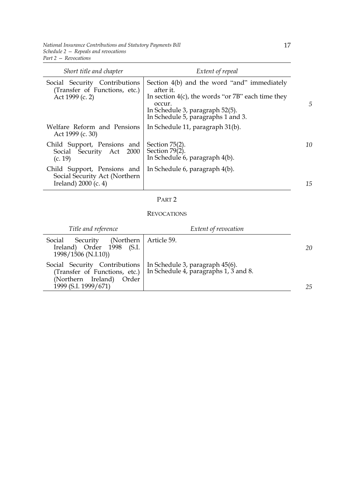*National Insurance Contributions and Statutory Payments Bill Schedule 2 — Repeals and revocations Part 2 — Revocations*

| Short title and chapter                                                              | Extent of repeal                                                                                                                                                                                       |    |
|--------------------------------------------------------------------------------------|--------------------------------------------------------------------------------------------------------------------------------------------------------------------------------------------------------|----|
| Social Security Contributions<br>(Transfer of Functions, etc.)<br>Act 1999 (c. 2)    | Section 4(b) and the word "and" immediately<br>after it.<br>In section $4(c)$ , the words "or $7B$ " each time they<br>occur.<br>In Schedule 3, paragraph 52(5).<br>In Schedule 5, paragraphs 1 and 3. | 5  |
| Welfare Reform and Pensions<br>Act 1999 (c. 30)                                      | In Schedule 11, paragraph 31(b).                                                                                                                                                                       |    |
| Child Support, Pensions and<br>Social Security Act 2000<br>(c. 19)                   | Section $75(2)$ .<br>Section $79(2)$ .<br>In Schedule 6, paragraph 4(b).                                                                                                                               | 10 |
| Child Support, Pensions and<br>Social Security Act (Northern<br>Ireland) 2000 (c. 4) | In Schedule 6, paragraph 4(b).                                                                                                                                                                         | 15 |

#### PART 2

#### REVOCATIONS

| Extent of revocation                                           | 20                                                                                                                                       |
|----------------------------------------------------------------|------------------------------------------------------------------------------------------------------------------------------------------|
| Article 59.<br>Security (Northern<br>Ireland) Order 1998 (S.I. |                                                                                                                                          |
|                                                                | 25                                                                                                                                       |
|                                                                | Social Security Contributions   In Schedule 3, paragraph 45(6).<br>(Transfer of Functions, etc.) In Schedule 4, paragraphs $1, 3$ and 8. |